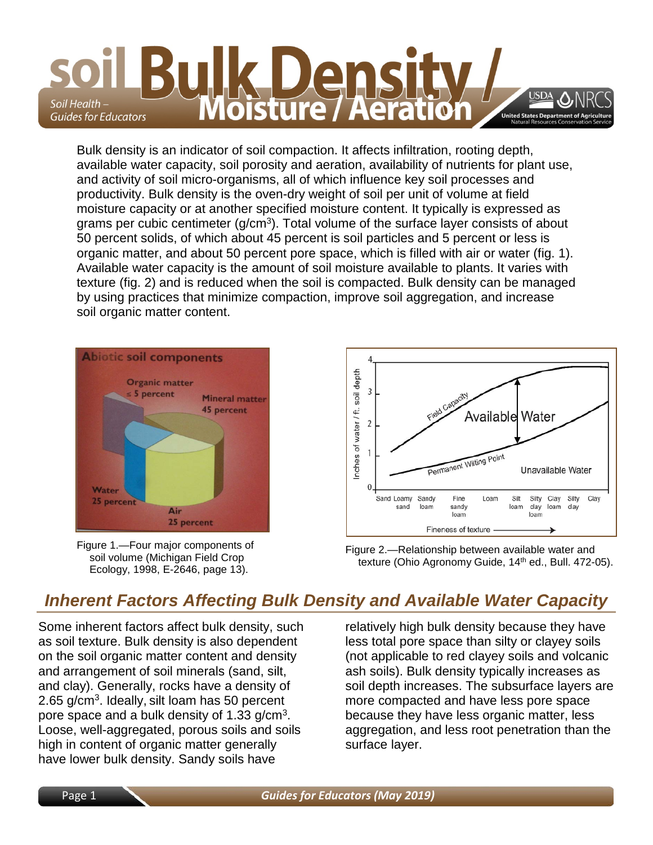

Bulk density is an indicator of soil compaction. It affects infiltration, rooting depth, available water capacity, soil porosity and aeration, availability of nutrients for plant use, and activity of soil micro-organisms, all of which influence key soil processes and productivity. Bulk density is the oven-dry weight of soil per unit of volume at field moisture capacity or at another specified moisture content. It typically is expressed as grams per cubic centimeter  $(q/cm<sup>3</sup>)$ . Total volume of the surface layer consists of about 50 percent solids, of which about 45 percent is soil particles and 5 percent or less is organic matter, and about 50 percent pore space, which is filled with air or water (fig. 1). Available water capacity is the amount of soil moisture available to plants. It varies with texture (fig. 2) and is reduced when the soil is compacted. Bulk density can be managed by using practices that minimize compaction, improve soil aggregation, and increase soil organic matter content.



Figure 1.—Four major components of soil volume (Michigan Field Crop Ecology, 1998, E-2646, page 13).



Figure 2.—Relationship between available water and texture (Ohio Agronomy Guide, 14<sup>th</sup> ed., Bull. 472-05).

# *Inherent Factors Affecting Bulk Density and Available Water Capacity*

Some inherent factors affect bulk density, such as soil texture. Bulk density is also dependent on the soil organic matter content and density and arrangement of soil minerals (sand, silt, and clay). Generally, rocks have a density of 2.65 g/cm<sup>3</sup>. Ideally, silt loam has 50 percent pore space and a bulk density of 1.33 g/cm3. Loose, well-aggregated, porous soils and soils high in content of organic matter generally have lower bulk density. Sandy soils have

relatively high bulk density because they have less total pore space than silty or clayey soils (not applicable to red clayey soils and volcanic ash soils). Bulk density typically increases as soil depth increases. The subsurface layers are more compacted and have less pore space because they have less organic matter, less aggregation, and less root penetration than the surface layer.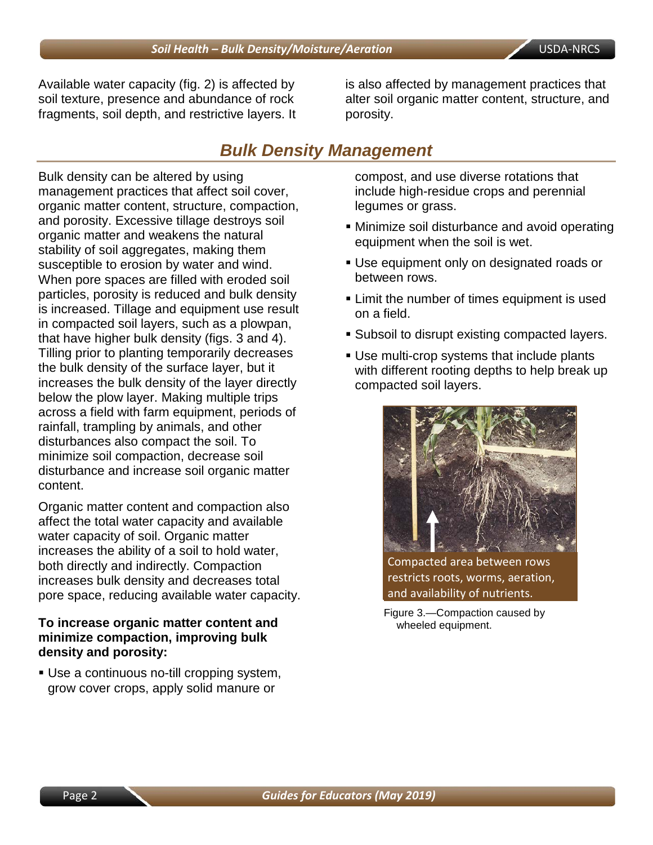Available water capacity (fig. 2) is affected by soil texture, presence and abundance of rock fragments, soil depth, and restrictive layers. It is also affected by management practices that alter soil organic matter content, structure, and porosity.

## *Bulk Density Management*

Bulk density can be altered by using management practices that affect soil cover, organic matter content, structure, compaction, and porosity. Excessive tillage destroys soil organic matter and weakens the natural stability of soil aggregates, making them susceptible to erosion by water and wind. When pore spaces are filled with eroded soil particles, porosity is reduced and bulk density is increased. Tillage and equipment use result in compacted soil layers, such as a plowpan, that have higher bulk density (figs. 3 and 4). Tilling prior to planting temporarily decreases the bulk density of the surface layer, but it increases the bulk density of the layer directly below the plow layer. Making multiple trips across a field with farm equipment, periods of rainfall, trampling by animals, and other disturbances also compact the soil. To minimize soil compaction, decrease soil disturbance and increase soil organic matter content.

Organic matter content and compaction also affect the total water capacity and available water capacity of soil. Organic matter increases the ability of a soil to hold water, both directly and indirectly. Compaction increases bulk density and decreases total pore space, reducing available water capacity.

### **To increase organic matter content and minimize compaction, improving bulk density and porosity:**

 Use a continuous no-till cropping system, grow cover crops, apply solid manure or

compost, and use diverse rotations that include high-residue crops and perennial legumes or grass.

- Minimize soil disturbance and avoid operating equipment when the soil is wet.
- Use equipment only on designated roads or between rows.
- **EXTER 1** Limit the number of times equipment is used on a field.
- **Subsoil to disrupt existing compacted layers.**
- Use multi-crop systems that include plants with different rooting depths to help break up compacted soil layers.



Compacted area between rows restricts roots, worms, aeration, and availability of nutrients.

Figure 3.—Compaction caused by wheeled equipment.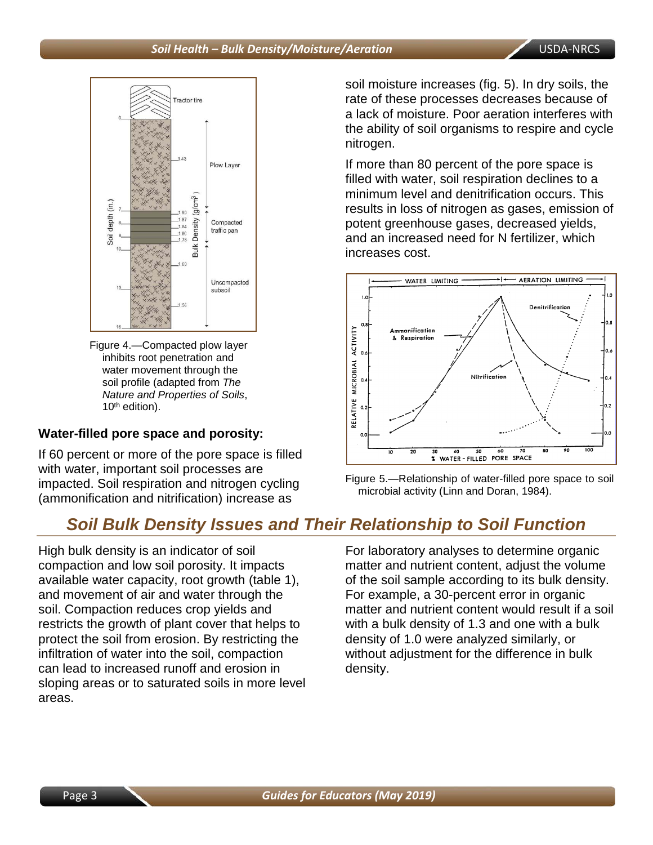

Figure 4.—Compacted plow layer inhibits root penetration and water movement through the soil profile (adapted from *The Nature and Properties of Soils*, 10th edition).

### **Water-filled pore space and porosity:**

If 60 percent or more of the pore space is filled with water, important soil processes are impacted. Soil respiration and nitrogen cycling (ammonification and nitrification) increase as

*Soil Bulk Density Issues and Their Relationship to Soil Function*

High bulk density is an indicator of soil compaction and low soil porosity. It impacts available water capacity, root growth (table 1), and movement of air and water through the soil. Compaction reduces crop yields and restricts the growth of plant cover that helps to protect the soil from erosion. By restricting the infiltration of water into the soil, compaction can lead to increased runoff and erosion in sloping areas or to saturated soils in more level areas.

soil moisture increases (fig. 5). In dry soils, the rate of these processes decreases because of a lack of moisture. Poor aeration interferes with the ability of soil organisms to respire and cycle nitrogen.

If more than 80 percent of the pore space is filled with water, soil respiration declines to a minimum level and denitrification occurs. This results in loss of nitrogen as gases, emission of potent greenhouse gases, decreased yields, and an increased need for N fertilizer, which increases cost.





For laboratory analyses to determine organic matter and nutrient content, adjust the volume of the soil sample according to its bulk density. For example, a 30-percent error in organic matter and nutrient content would result if a soil with a bulk density of 1.3 and one with a bulk density of 1.0 were analyzed similarly, or without adjustment for the difference in bulk density.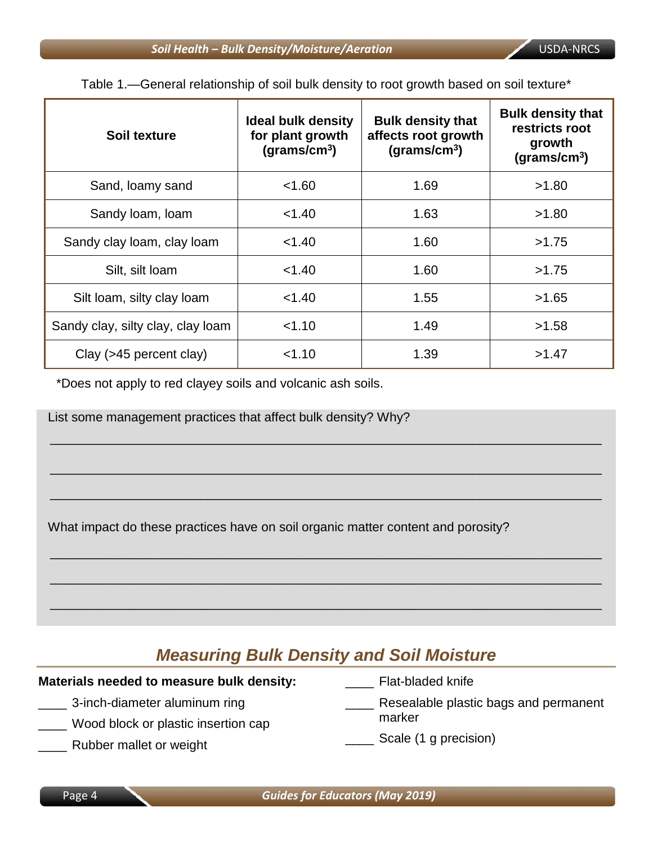| Soil texture                      | <b>Ideal bulk density</b><br>for plant growth<br>(grams/cm <sup>3</sup> ) | <b>Bulk density that</b><br>affects root growth<br>(grams/cm <sup>3</sup> ) | <b>Bulk density that</b><br>restricts root<br>growth<br>(grams/cm <sup>3</sup> ) |
|-----------------------------------|---------------------------------------------------------------------------|-----------------------------------------------------------------------------|----------------------------------------------------------------------------------|
| Sand, loamy sand                  | < 1.60                                                                    | 1.69                                                                        | >1.80                                                                            |
| Sandy Ioam, Ioam                  | < 1.40                                                                    | 1.63                                                                        | >1.80                                                                            |
| Sandy clay loam, clay loam        | < 1.40                                                                    | 1.60                                                                        | >1.75                                                                            |
| Silt, silt loam                   | < 1.40                                                                    | 1.60                                                                        | >1.75                                                                            |
| Silt loam, silty clay loam        | < 1.40                                                                    | 1.55                                                                        | >1.65                                                                            |
| Sandy clay, silty clay, clay loam | 1.10                                                                      | 1.49                                                                        | >1.58                                                                            |
| Clay (>45 percent clay)           | < 1.10                                                                    | 1.39                                                                        | >1.47                                                                            |

\_\_\_\_\_\_\_\_\_\_\_\_\_\_\_\_\_\_\_\_\_\_\_\_\_\_\_\_\_\_\_\_\_\_\_\_\_\_\_\_\_\_\_\_\_\_\_\_\_\_\_\_\_\_\_\_\_\_\_\_\_\_\_\_\_\_\_\_\_\_\_\_\_\_\_\_\_

\_\_\_\_\_\_\_\_\_\_\_\_\_\_\_\_\_\_\_\_\_\_\_\_\_\_\_\_\_\_\_\_\_\_\_\_\_\_\_\_\_\_\_\_\_\_\_\_\_\_\_\_\_\_\_\_\_\_\_\_\_\_\_\_\_\_\_\_\_\_\_\_\_\_\_\_\_

\_\_\_\_\_\_\_\_\_\_\_\_\_\_\_\_\_\_\_\_\_\_\_\_\_\_\_\_\_\_\_\_\_\_\_\_\_\_\_\_\_\_\_\_\_\_\_\_\_\_\_\_\_\_\_\_\_\_\_\_\_\_\_\_\_\_\_\_\_\_\_\_\_\_\_\_\_

\_\_\_\_\_\_\_\_\_\_\_\_\_\_\_\_\_\_\_\_\_\_\_\_\_\_\_\_\_\_\_\_\_\_\_\_\_\_\_\_\_\_\_\_\_\_\_\_\_\_\_\_\_\_\_\_\_\_\_\_\_\_\_\_\_\_\_\_\_\_\_\_\_\_\_\_\_

\_\_\_\_\_\_\_\_\_\_\_\_\_\_\_\_\_\_\_\_\_\_\_\_\_\_\_\_\_\_\_\_\_\_\_\_\_\_\_\_\_\_\_\_\_\_\_\_\_\_\_\_\_\_\_\_\_\_\_\_\_\_\_\_\_\_\_\_\_\_\_\_\_\_\_\_\_

\_\_\_\_\_\_\_\_\_\_\_\_\_\_\_\_\_\_\_\_\_\_\_\_\_\_\_\_\_\_\_\_\_\_\_\_\_\_\_\_\_\_\_\_\_\_\_\_\_\_\_\_\_\_\_\_\_\_\_\_\_\_\_\_\_\_\_\_\_\_\_\_\_\_\_\_\_

Table 1.—General relationship of soil bulk density to root growth based on soil texture\*

\*Does not apply to red clayey soils and volcanic ash soils.

List some management practices that affect bulk density? Why?

What impact do these practices have on soil organic matter content and porosity?

## *Measuring Bulk Density and Soil Moisture*

### **Materials needed to measure bulk density:**

- \_\_\_\_ 3-inch-diameter aluminum ring
- \_\_\_\_ Wood block or plastic insertion cap
- \_\_\_\_ Rubber mallet or weight
- Flat-bladed knife
- Resealable plastic bags and permanent marker
- \_\_\_\_ Scale (1 g precision)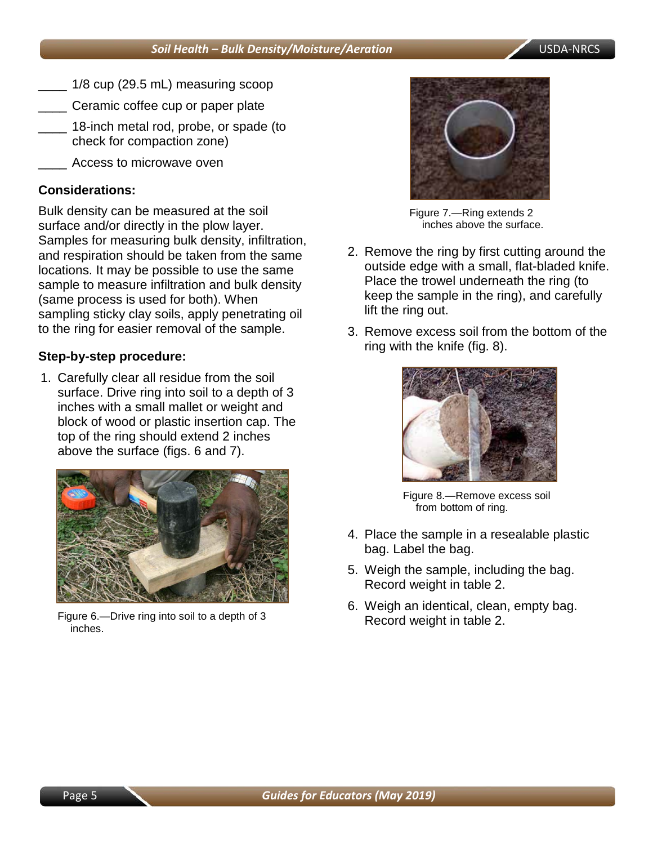- \_\_\_\_ 1/8 cup (29.5 mL) measuring scoop
- \_\_\_\_ Ceramic coffee cup or paper plate
- 18-inch metal rod, probe, or spade (to check for compaction zone)
- Access to microwave oven

## **Considerations:**

Bulk density can be measured at the soil surface and/or directly in the plow layer. Samples for measuring bulk density, infiltration, and respiration should be taken from the same locations. It may be possible to use the same sample to measure infiltration and bulk density (same process is used for both). When sampling sticky clay soils, apply penetrating oil to the ring for easier removal of the sample.

### **Step-by-step procedure:**

1. Carefully clear all residue from the soil surface. Drive ring into soil to a depth of 3 inches with a small mallet or weight and block of wood or plastic insertion cap. The top of the ring should extend 2 inches above the surface (figs. 6 and 7).



Figure 6.—Drive ring into soil to a depth of 3 inches.



Figure 7.—Ring extends 2 inches above the surface.

- 2. Remove the ring by first cutting around the outside edge with a small, flat-bladed knife. Place the trowel underneath the ring (to keep the sample in the ring), and carefully lift the ring out.
- 3. Remove excess soil from the bottom of the ring with the knife (fig. 8).



Figure 8.—Remove excess soil from bottom of ring.

- 4. Place the sample in a resealable plastic bag. Label the bag.
- 5. Weigh the sample, including the bag. Record weight in table 2.
- 6. Weigh an identical, clean, empty bag. Record weight in table 2.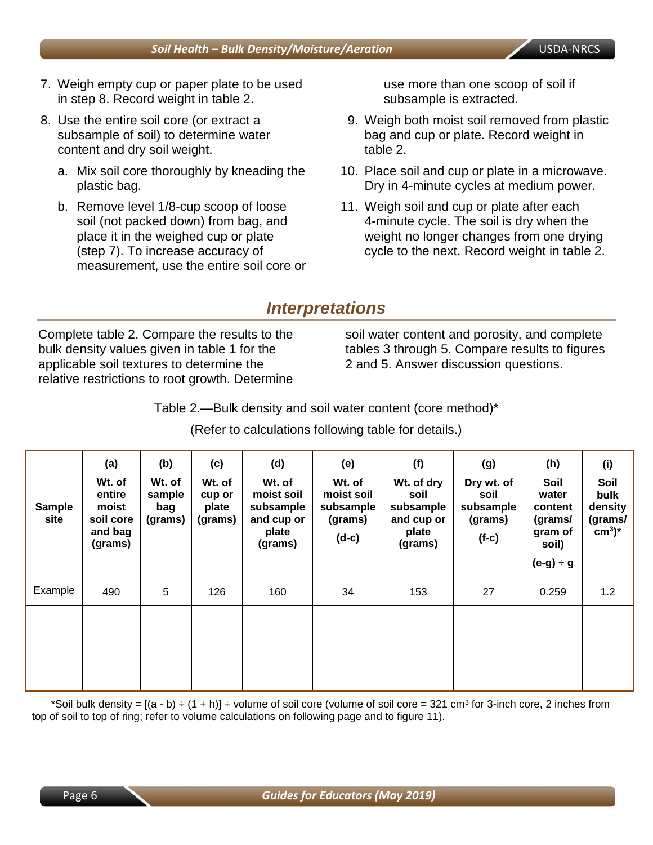- 7. Weigh empty cup or paper plate to be used in step 8. Record weight in table 2.
- 8. Use the entire soil core (or extract a subsample of soil) to determine water content and dry soil weight.
	- a. Mix soil core thoroughly by kneading the plastic bag.
	- b. Remove level 1/8-cup scoop of loose soil (not packed down) from bag, and place it in the weighed cup or plate (step 7). To increase accuracy of measurement, use the entire soil core or

use more than one scoop of soil if subsample is extracted.

- 9. Weigh both moist soil removed from plastic bag and cup or plate. Record weight in table 2.
- 10. Place soil and cup or plate in a microwave. Dry in 4-minute cycles at medium power.
- 11. Weigh soil and cup or plate after each 4-minute cycle. The soil is dry when the weight no longer changes from one drying cycle to the next. Record weight in table 2.

## *Interpretations*

Complete table 2. Compare the results to the bulk density values given in table 1 for the applicable soil textures to determine the relative restrictions to root growth. Determine soil water content and porosity, and complete tables 3 through 5. Compare results to figures 2 and 5. Answer discussion questions.

Table 2.—Bulk density and soil water content (core method)\*

(Refer to calculations following table for details.)

| Sample<br>site | (a)<br>Wt. of<br>entire<br>moist<br>soil core<br>and bag<br>(grams) | (b)<br>Wt. of<br>sample<br>bag<br>(grams) | (c)<br>Wt. of<br>cup or<br>plate<br>(grams) | (d)<br>Wt. of<br>moist soil<br>subsample<br>and cup or<br>plate<br>(grams) | (e)<br>Wt. of<br>moist soil<br>subsample<br>(grams)<br>$(d-c)$ | (f)<br>Wt. of dry<br>soil<br>subsample<br>and cup or<br>plate<br>(grams) | (g)<br>Dry wt. of<br>soil<br>subsample<br>(grams)<br>$(f-c)$ | (h)<br>Soil<br>water<br>content<br>(grams/<br>gram of<br>soil)<br>$(e-g) \div g$ | (i)<br>Soil<br>bulk<br>density<br>(grams/<br>$cm3$ <sup>*</sup> |
|----------------|---------------------------------------------------------------------|-------------------------------------------|---------------------------------------------|----------------------------------------------------------------------------|----------------------------------------------------------------|--------------------------------------------------------------------------|--------------------------------------------------------------|----------------------------------------------------------------------------------|-----------------------------------------------------------------|
| Example        | 490                                                                 | 5                                         | 126                                         | 160                                                                        | 34                                                             | 153                                                                      | 27                                                           | 0.259                                                                            | 1.2                                                             |
|                |                                                                     |                                           |                                             |                                                                            |                                                                |                                                                          |                                                              |                                                                                  |                                                                 |
|                |                                                                     |                                           |                                             |                                                                            |                                                                |                                                                          |                                                              |                                                                                  |                                                                 |
|                |                                                                     |                                           |                                             |                                                                            |                                                                |                                                                          |                                                              |                                                                                  |                                                                 |

\*Soil bulk density =  $[(a - b) \div (1 + h)] \div$  volume of soil core (volume of soil core = 321 cm<sup>3</sup> for 3-inch core, 2 inches from top of soil to top of ring; refer to volume calculations on following page and to figure 11).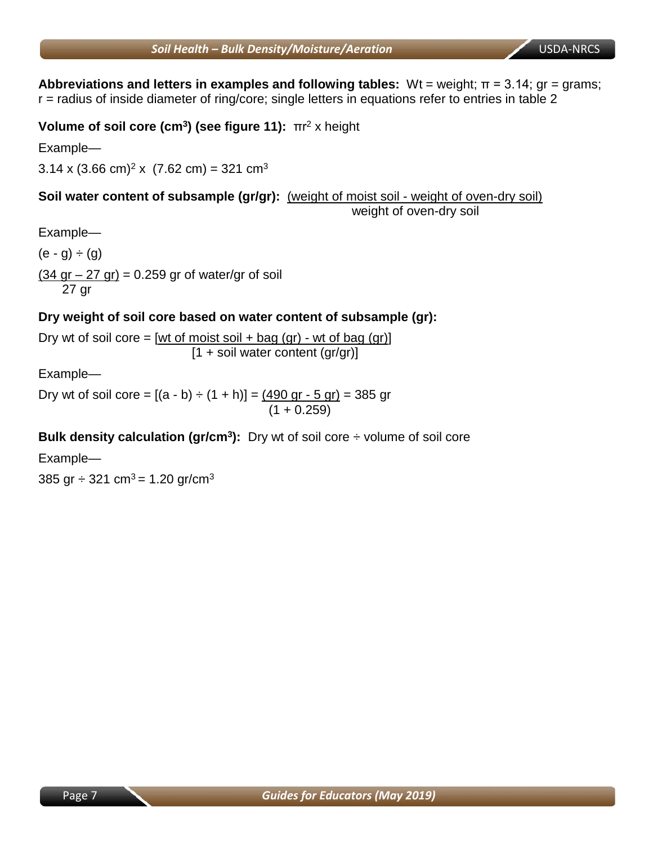**Abbreviations and letters in examples and following tables:** Wt = weight; π = 3.14; gr = grams; r = radius of inside diameter of ring/core; single letters in equations refer to entries in table 2

**Volume of soil core (cm3) (see figure 11):** πr<sup>2</sup> x height

Example—

 $3.14 \times (3.66 \text{ cm})^2 \times (7.62 \text{ cm}) = 321 \text{ cm}^3$ 

**Soil water content of subsample (gr/gr):** (weight of moist soil - weight of oven-dry soil) weight of oven-dry soil

Example—

 $(e - g) \div (g)$  $(34$  gr – 27 gr) = 0.259 gr of water/gr of soil

27 gr

## **Dry weight of soil core based on water content of subsample (gr):**

Dry wt of soil core =  $[wt$  of moist soil + bag  $(qr)$  - wt of bag  $(qr)$ ]  $[1 + \text{soil water content (gr/gr)}]$ 

Example—

Dry wt of soil core = [(a - b) ÷ (1 + h)] = (490 gr - 5 gr) = 385 gr (1 + 0.259)

**Bulk density calculation (gr/cm<sup>3</sup>):** Dry wt of soil core  $\div$  volume of soil core

Example—

385 gr  $\div$  321 cm<sup>3</sup> = 1.20 gr/cm<sup>3</sup>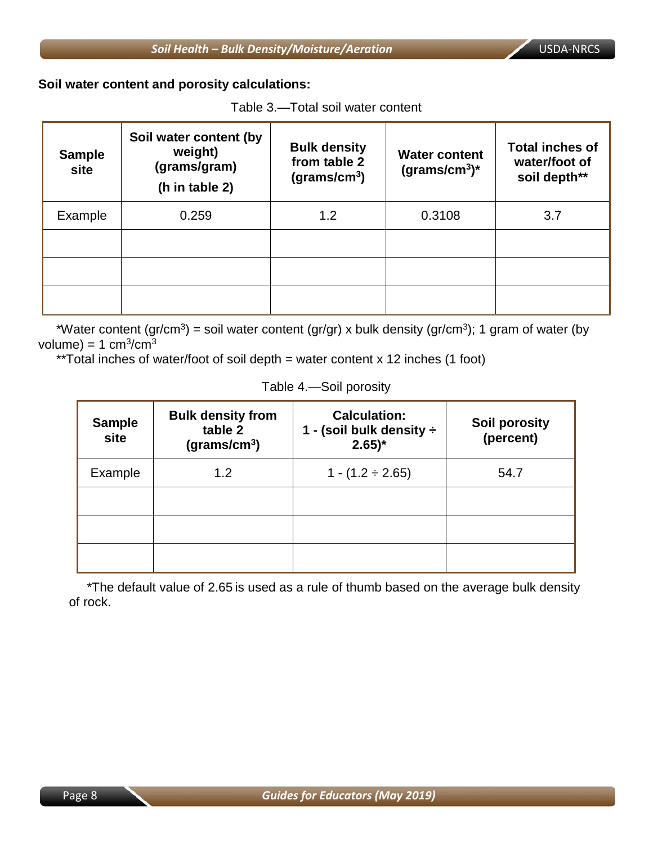**Soil water content and porosity calculations:**

 $\overline{a}$ 

| Table 3.—Total soil water content |  |
|-----------------------------------|--|
|-----------------------------------|--|

| <b>Sample</b><br>site | Soil water content (by<br>weight)<br>(grams/gram)<br>(h in table 2) | <b>Bulk density</b><br>from table 2<br>(grams/cm <sup>3</sup> ) | <b>Water content</b><br>$(grams/cm3)*$ | <b>Total inches of</b><br>water/foot of<br>soil depth** |
|-----------------------|---------------------------------------------------------------------|-----------------------------------------------------------------|----------------------------------------|---------------------------------------------------------|
| Example               | 0.259                                                               | 1.2                                                             | 0.3108                                 | 3.7                                                     |
|                       |                                                                     |                                                                 |                                        |                                                         |
|                       |                                                                     |                                                                 |                                        |                                                         |
|                       |                                                                     |                                                                 |                                        |                                                         |

\*Water content (gr/cm<sup>3</sup>) = soil water content (gr/gr) x bulk density (gr/cm<sup>3</sup>); 1 gram of water (by volume) =  $1 \text{ cm}^3/\text{cm}^3$ 

\*\*Total inches of water/foot of soil depth = water content  $x$  12 inches (1 foot)

Table 4.—Soil porosity

| <b>Sample</b><br>site | <b>Bulk density from</b><br>table 2<br>(grams/cm <sup>3</sup> ) | <b>Calculation:</b><br>1 - (soil bulk density ÷<br>$2.65$ <sup>*</sup> | <b>Soil porosity</b><br>(percent) |
|-----------------------|-----------------------------------------------------------------|------------------------------------------------------------------------|-----------------------------------|
| Example               | 1.2                                                             | $1 - (1.2 \div 2.65)$                                                  | 54.7                              |
|                       |                                                                 |                                                                        |                                   |
|                       |                                                                 |                                                                        |                                   |
|                       |                                                                 |                                                                        |                                   |

 \*The default value of 2.65 is used as a rule of thumb based on the average bulk density of rock.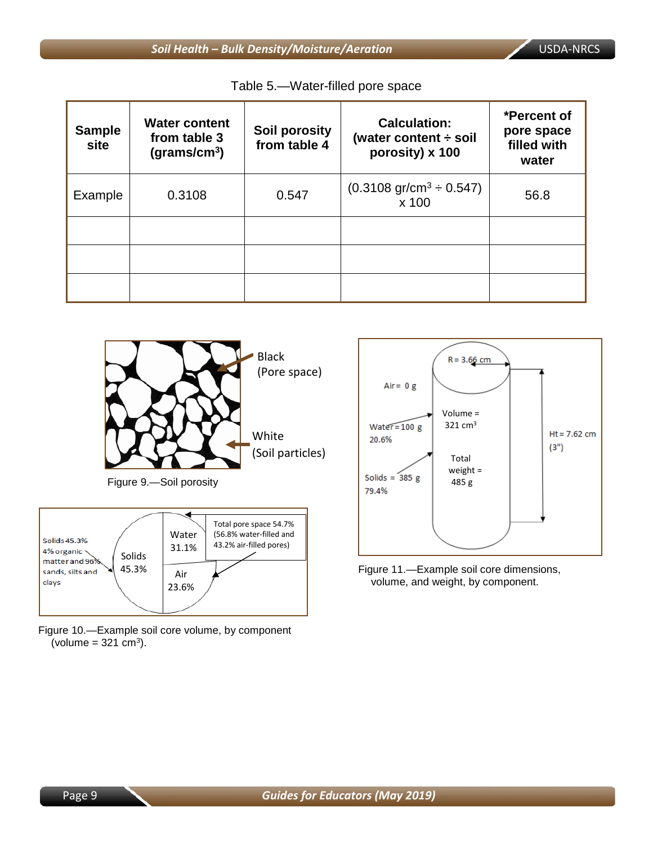| <b>Sample</b><br>site | <b>Water content</b><br>from table 3<br>(grams/cm <sup>3</sup> ) | Soil porosity<br>from table 4 | <b>Calculation:</b><br>(water content $\div$ soil<br>porosity) x 100 | *Percent of<br>pore space<br>filled with<br>water |
|-----------------------|------------------------------------------------------------------|-------------------------------|----------------------------------------------------------------------|---------------------------------------------------|
| Example               | 0.3108                                                           | 0.547                         | $(0.3108 \text{ gr/cm}^3 \div 0.547)$<br>x 100                       | 56.8                                              |
|                       |                                                                  |                               |                                                                      |                                                   |
|                       |                                                                  |                               |                                                                      |                                                   |
|                       |                                                                  |                               |                                                                      |                                                   |





Figure 10.—Example soil core volume, by component (volume =  $321$  cm<sup>3</sup>).



Figure 11.—Example soil core dimensions, volume, and weight, by component.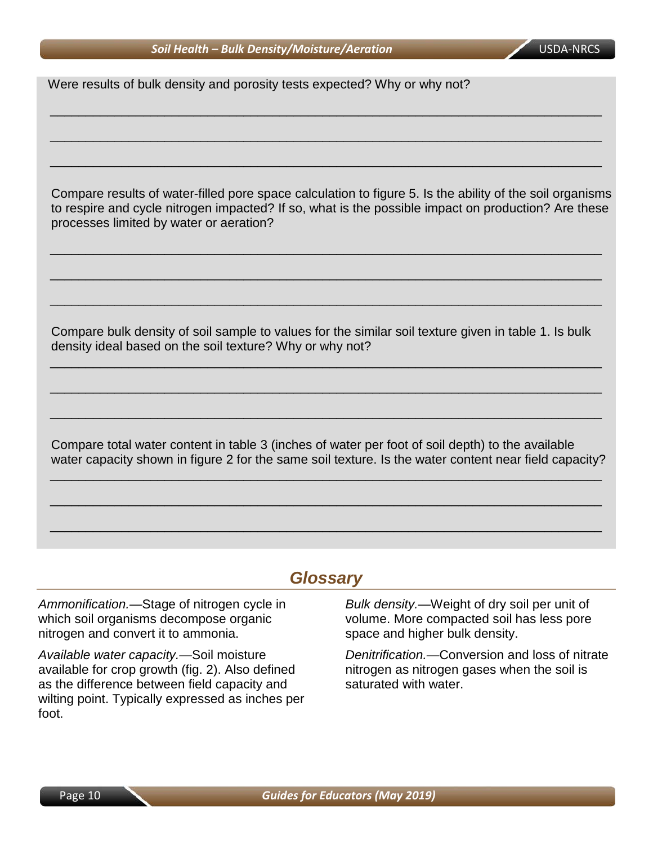#### **Soil Health – Bulk Density/Moisture/Aeration** USDA-NRCS

Were results of bulk density and porosity tests expected? Why or why not?

Compare results of water-filled pore space calculation to figure 5. Is the ability of the soil organisms to respire and cycle nitrogen impacted? If so, what is the possible impact on production? Are these processes limited by water or aeration?

\_\_\_\_\_\_\_\_\_\_\_\_\_\_\_\_\_\_\_\_\_\_\_\_\_\_\_\_\_\_\_\_\_\_\_\_\_\_\_\_\_\_\_\_\_\_\_\_\_\_\_\_\_\_\_\_\_\_\_\_\_\_\_\_\_\_\_\_\_\_\_\_\_\_\_\_\_

\_\_\_\_\_\_\_\_\_\_\_\_\_\_\_\_\_\_\_\_\_\_\_\_\_\_\_\_\_\_\_\_\_\_\_\_\_\_\_\_\_\_\_\_\_\_\_\_\_\_\_\_\_\_\_\_\_\_\_\_\_\_\_\_\_\_\_\_\_\_\_\_\_\_\_\_\_

\_\_\_\_\_\_\_\_\_\_\_\_\_\_\_\_\_\_\_\_\_\_\_\_\_\_\_\_\_\_\_\_\_\_\_\_\_\_\_\_\_\_\_\_\_\_\_\_\_\_\_\_\_\_\_\_\_\_\_\_\_\_\_\_\_\_\_\_\_\_\_\_\_\_\_\_\_

\_\_\_\_\_\_\_\_\_\_\_\_\_\_\_\_\_\_\_\_\_\_\_\_\_\_\_\_\_\_\_\_\_\_\_\_\_\_\_\_\_\_\_\_\_\_\_\_\_\_\_\_\_\_\_\_\_\_\_\_\_\_\_\_\_\_\_\_\_\_\_\_\_\_\_\_\_

\_\_\_\_\_\_\_\_\_\_\_\_\_\_\_\_\_\_\_\_\_\_\_\_\_\_\_\_\_\_\_\_\_\_\_\_\_\_\_\_\_\_\_\_\_\_\_\_\_\_\_\_\_\_\_\_\_\_\_\_\_\_\_\_\_\_\_\_\_\_\_\_\_\_\_\_\_

\_\_\_\_\_\_\_\_\_\_\_\_\_\_\_\_\_\_\_\_\_\_\_\_\_\_\_\_\_\_\_\_\_\_\_\_\_\_\_\_\_\_\_\_\_\_\_\_\_\_\_\_\_\_\_\_\_\_\_\_\_\_\_\_\_\_\_\_\_\_\_\_\_\_\_\_\_

Compare bulk density of soil sample to values for the similar soil texture given in table 1. Is bulk density ideal based on the soil texture? Why or why not?

\_\_\_\_\_\_\_\_\_\_\_\_\_\_\_\_\_\_\_\_\_\_\_\_\_\_\_\_\_\_\_\_\_\_\_\_\_\_\_\_\_\_\_\_\_\_\_\_\_\_\_\_\_\_\_\_\_\_\_\_\_\_\_\_\_\_\_\_\_\_\_\_\_\_\_\_\_

\_\_\_\_\_\_\_\_\_\_\_\_\_\_\_\_\_\_\_\_\_\_\_\_\_\_\_\_\_\_\_\_\_\_\_\_\_\_\_\_\_\_\_\_\_\_\_\_\_\_\_\_\_\_\_\_\_\_\_\_\_\_\_\_\_\_\_\_\_\_\_\_\_\_\_\_\_

\_\_\_\_\_\_\_\_\_\_\_\_\_\_\_\_\_\_\_\_\_\_\_\_\_\_\_\_\_\_\_\_\_\_\_\_\_\_\_\_\_\_\_\_\_\_\_\_\_\_\_\_\_\_\_\_\_\_\_\_\_\_\_\_\_\_\_\_\_\_\_\_\_\_\_\_\_

Compare total water content in table 3 (inches of water per foot of soil depth) to the available water capacity shown in figure 2 for the same soil texture. Is the water content near field capacity?

\_\_\_\_\_\_\_\_\_\_\_\_\_\_\_\_\_\_\_\_\_\_\_\_\_\_\_\_\_\_\_\_\_\_\_\_\_\_\_\_\_\_\_\_\_\_\_\_\_\_\_\_\_\_\_\_\_\_\_\_\_\_\_\_\_\_\_\_\_\_\_\_\_\_\_\_\_

\_\_\_\_\_\_\_\_\_\_\_\_\_\_\_\_\_\_\_\_\_\_\_\_\_\_\_\_\_\_\_\_\_\_\_\_\_\_\_\_\_\_\_\_\_\_\_\_\_\_\_\_\_\_\_\_\_\_\_\_\_\_\_\_\_\_\_\_\_\_\_\_\_\_\_\_\_

\_\_\_\_\_\_\_\_\_\_\_\_\_\_\_\_\_\_\_\_\_\_\_\_\_\_\_\_\_\_\_\_\_\_\_\_\_\_\_\_\_\_\_\_\_\_\_\_\_\_\_\_\_\_\_\_\_\_\_\_\_\_\_\_\_\_\_\_\_\_\_\_\_\_\_\_\_

## *Glossary*

*Ammonification.—*Stage of nitrogen cycle in which soil organisms decompose organic nitrogen and convert it to ammonia.

*Available water capacity.—*Soil moisture available for crop growth (fig. 2). Also defined as the difference between field capacity and wilting point. Typically expressed as inches per foot.

*Bulk density.—*Weight of dry soil per unit of volume. More compacted soil has less pore space and higher bulk density.

*Denitrification.—*Conversion and loss of nitrate nitrogen as nitrogen gases when the soil is saturated with water.